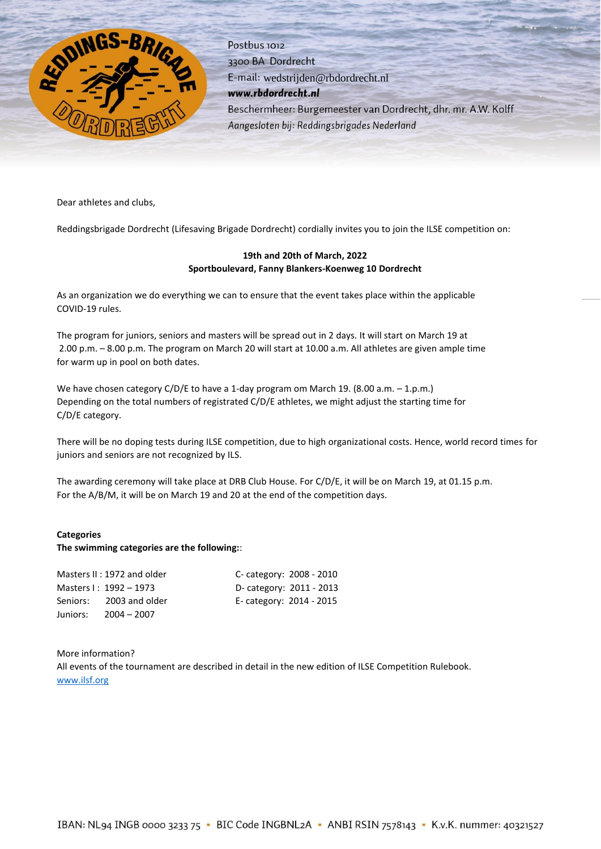

Postbus 1012 3300 BA Dordrecht E-mail: wedstrijden@rbdordrecht.nl www.rbdordrecht.nl Beschermheer: Burgemeester van Dordrecht, dhr. mr. A.W. Kolff Aangesloten bij: Reddingsbrigades Nederland

Dear athletes and clubs,

Reddingsbrigade Dordrecht (Lifesaving Brigade Dordrecht) cordially invites you to join the ILSE competition on:

# **19th and 20th of March, 2022 Sportboulevard, Fanny Blankers-Koenweg 10 Dordrecht**

As an organization we do everything we can to ensure that the event takes place within the applicable COVID-19 rules.

The program for juniors, seniors and masters will be spread out in 2 days. It will start on March 19 at 2.00 p.m. – 8.00 p.m. The program on March 20 will start at 10.00 a.m. All athletes are given ample time for warm up in pool on both dates.

We have chosen category C/D/E to have a 1-day program om March 19. (8.00 a.m. – 1.p.m.) Depending on the total numbers of registrated C/D/E athletes, we might adjust the starting time for C/D/E category.

There will be no doping tests during ILSE competition, due to high organizational costs. Hence, world record times for juniors and seniors are not recognized by ILS.

The awarding ceremony will take place at DRB Club House. For C/D/E, it will be on March 19, at 01.15 p.m. For the A/B/M, it will be on March 19 and 20 at the end of the competition days.

# **Categories**

# **The swimming categories are the following:**:

|          | Masters II: 1972 and older | C- category: 2008 - 2010 |  |
|----------|----------------------------|--------------------------|--|
|          | Masters I: 1992 - 1973     | D- category: 2011 - 2013 |  |
| Seniors: | 2003 and older             | E-category: 2014 - 2015  |  |
| Juniors: | $2004 - 2007$              |                          |  |

More information? All events of the tournament are described in detail in the new edition of ILSE Competition Rulebook. [www.ilsf.org](http://www.ilsf.org/)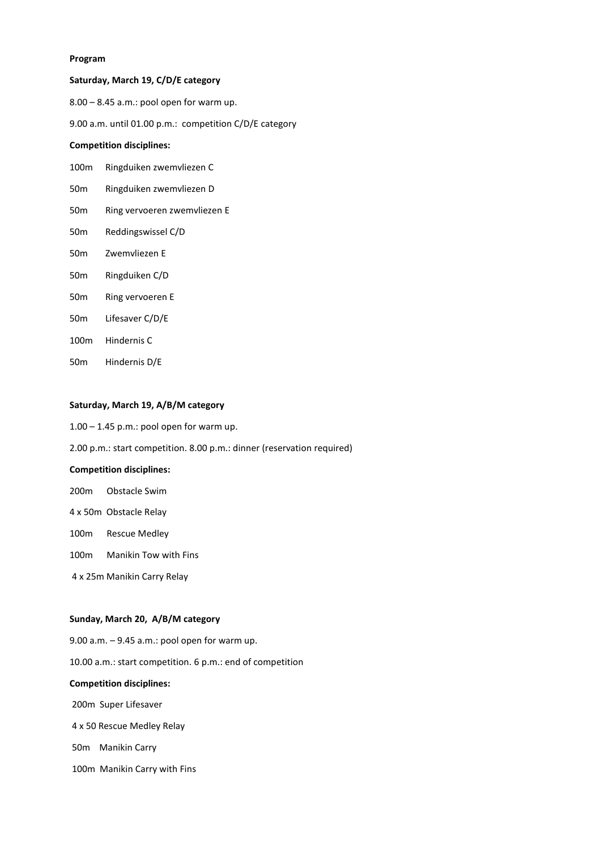#### **Program**

## **Saturday, March 19, C/D/E category**

8.00 – 8.45 a.m.: pool open for warm up.

9.00 a.m. until 01.00 p.m.: competition C/D/E category

## **Competition disciplines:**

- 100m Ringduiken zwemvliezen C
- 50m Ringduiken zwemvliezen D
- 50m Ring vervoeren zwemvliezen E
- 50m Reddingswissel C/D
- 50m Zwemvliezen E
- 50m Ringduiken C/D
- 50m Ring vervoeren E
- 50m Lifesaver C/D/E
- 100m Hindernis C
- 50m Hindernis D/E

## **Saturday, March 19, A/B/M category**

- $1.00 1.45$  p.m.: pool open for warm up.
- 2.00 p.m.: start competition. 8.00 p.m.: dinner (reservation required)

## **Competition disciplines:**

- 200m Obstacle Swim
- 4 x 50m Obstacle Relay
- 100m Rescue Medley
- 100m Manikin Tow with Fins
- 4 x 25m Manikin Carry Relay

#### **Sunday, March 20, A/B/M category**

9.00 a.m. – 9.45 a.m.: pool open for warm up. 10.00 a.m.: start competition. 6 p.m.: end of competition **Competition disciplines:** 200m Super Lifesaver 4 x 50 Rescue Medley Relay 50m Manikin Carry

100m Manikin Carry with Fins